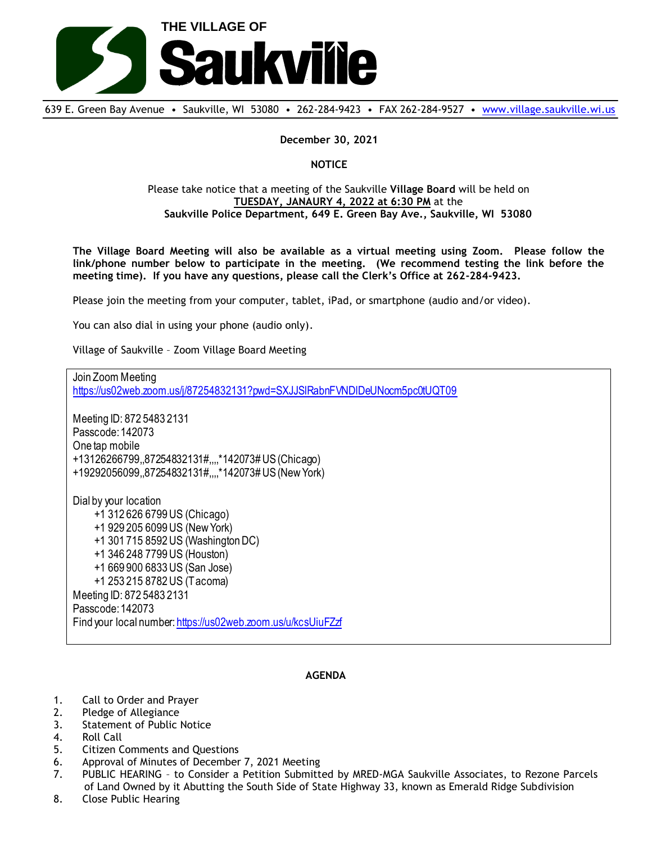

639 E. Green Bay Avenue • Saukville, WI 53080 • 262-284-9423 • FAX 262-284-9527 • [www.village.saukville.wi.us](http://www.village.saukville.wi.us/)

**December 30, 2021**

**NOTICE**

Please take notice that a meeting of the Saukville **Village Board** will be held on **TUESDAY, JANAURY 4, 2022 at 6:30 PM** at the **Saukville Police Department, 649 E. Green Bay Ave., Saukville, WI 53080**

**The Village Board Meeting will also be available as a virtual meeting using Zoom. Please follow the link/phone number below to participate in the meeting. (We recommend testing the link before the meeting time). If you have any questions, please call the Clerk's Office at 262-284-9423.**

Please join the meeting from your computer, tablet, iPad, or smartphone (audio and/or video).

You can also dial in using your phone (audio only).

Village of Saukville – Zoom Village Board Meeting

Join Zoom Meeting https://us02web.zoom.us/j/87254832131?pwd=SXJJSlRabnFVNDIDeUNocm5pc0tUQT09 Meeting ID: 872 5483 2131 Passcode: 142073 One tap mobile +13126266799,,87254832131#,,,,\*142073# US (Chicago) +19292056099,,87254832131#,,,,\*142073# US (New York) Dial by your location +1 312 626 6799 US (Chicago) +1 929 205 6099 US (New York) +1 301 715 8592 US (Washington DC) +1 346 248 7799 US (Houston) +1 669 900 6833 US (San Jose) +1 253 215 8782 US (Tacoma) Meeting ID: 872 5483 2131 Passcode: 142073 Find your local number: https://us02web.zoom.us/u/kcsUiuFZzf

## **AGENDA**

- 1. Call to Order and Prayer
- 2. Pledge of Allegiance
- 3. Statement of Public Notice
- 4. Roll Call
- 5. Citizen Comments and Questions
- 6. Approval of Minutes of December 7, 2021 Meeting
- 7. PUBLIC HEARING to Consider a Petition Submitted by MRED-MGA Saukville Associates, to Rezone Parcels of Land Owned by it Abutting the South Side of State Highway 33, known as Emerald Ridge Subdivision
- 8. Close Public Hearing